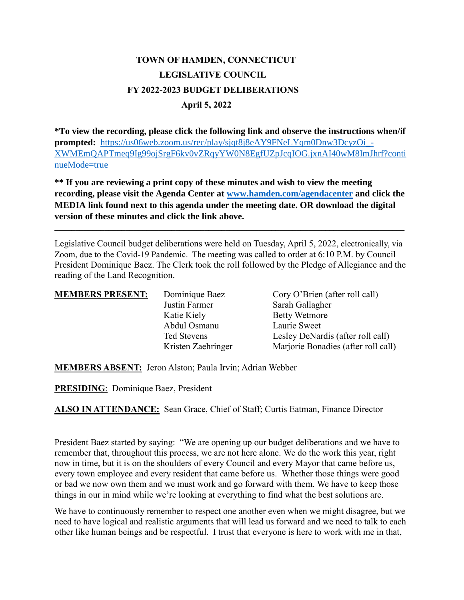## **TOWN OF HAMDEN, CONNECTICUT LEGISLATIVE COUNCIL FY 2022-2023 BUDGET DELIBERATIONS April 5, 2022**

**\*To view the recording, please click the following link and observe the instructions when/if prompted:** https://us06web.zoom.us/rec/play/sjqt8j8eAY9FNeLYqm0Dnw3DcyzOi -[XWMEmQAPTmeq9Ig99ojSrgF6kv0vZRqyYW0N8EgfUZpJcqIOG.jxnAI40wM8ImJhrf?conti](https://us06web.zoom.us/rec/play/sjqt8j8eAY9FNeLYqm0Dnw3DcyzOi_-XWMEmQAPTmeq9Ig99ojSrgF6kv0vZRqyYW0N8EgfUZpJcqIOG.jxnAI40wM8ImJhrf?continueMode=true) [nueMode=true](https://us06web.zoom.us/rec/play/sjqt8j8eAY9FNeLYqm0Dnw3DcyzOi_-XWMEmQAPTmeq9Ig99ojSrgF6kv0vZRqyYW0N8EgfUZpJcqIOG.jxnAI40wM8ImJhrf?continueMode=true)

**\*\* If you are reviewing a print copy of these minutes and wish to view the meeting recording, please visit the Agenda Center at [www.hamden.com/agendacenter](http://www.hamden.com/agendacenter) and click the MEDIA link found next to this agenda under the meeting date. OR download the digital version of these minutes and click the link above.**

**\_\_\_\_\_\_\_\_\_\_\_\_\_\_\_\_\_\_\_\_\_\_\_\_\_\_\_\_\_\_\_\_\_\_\_\_\_\_\_\_\_\_\_\_\_\_\_\_\_\_\_\_\_\_\_\_\_\_\_\_\_\_\_\_\_\_\_\_\_\_\_\_\_\_\_\_\_\_\_\_\_\_\_\_**

Legislative Council budget deliberations were held on Tuesday, April 5, 2022, electronically, via Zoom, due to the Covid-19 Pandemic. The meeting was called to order at 6:10 P.M. by Council President Dominique Baez. The Clerk took the roll followed by the Pledge of Allegiance and the reading of the Land Recognition.

| <b>MEMBERS PRESENT:</b> | Dominique Baez               | Cory O'Brien (after roll call)          |
|-------------------------|------------------------------|-----------------------------------------|
|                         | Justin Farmer<br>Katie Kiely | Sarah Gallagher<br><b>Betty Wetmore</b> |
|                         | Abdul Osmanu                 | Laurie Sweet                            |
|                         | Ted Stevens                  | Lesley DeNardis (after roll call)       |
|                         | Kristen Zaehringer           | Marjorie Bonadies (after roll call)     |

**MEMBERS ABSENT:** Jeron Alston; Paula Irvin; Adrian Webber

**PRESIDING**: Dominique Baez, President

**ALSO IN ATTENDANCE:** Sean Grace, Chief of Staff; Curtis Eatman, Finance Director

President Baez started by saying: "We are opening up our budget deliberations and we have to remember that, throughout this process, we are not here alone. We do the work this year, right now in time, but it is on the shoulders of every Council and every Mayor that came before us, every town employee and every resident that came before us. Whether those things were good or bad we now own them and we must work and go forward with them. We have to keep those things in our in mind while we're looking at everything to find what the best solutions are.

We have to continuously remember to respect one another even when we might disagree, but we need to have logical and realistic arguments that will lead us forward and we need to talk to each other like human beings and be respectful. I trust that everyone is here to work with me in that,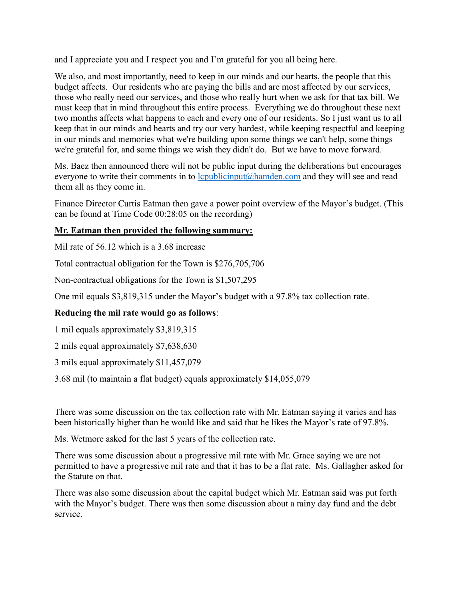and I appreciate you and I respect you and I'm grateful for you all being here.

We also, and most importantly, need to keep in our minds and our hearts, the people that this budget affects. Our residents who are paying the bills and are most affected by our services, those who really need our services, and those who really hurt when we ask for that tax bill. We must keep that in mind throughout this entire process. Everything we do throughout these next two months affects what happens to each and every one of our residents. So I just want us to all keep that in our minds and hearts and try our very hardest, while keeping respectful and keeping in our minds and memories what we're building upon some things we can't help, some things we're grateful for, and some things we wish they didn't do. But we have to move forward.

Ms. Baez then announced there will not be public input during the deliberations but encourages everyone to write their comments in to  $l$ coublicinput@hamden.com and they will see and read them all as they come in.

Finance Director Curtis Eatman then gave a power point overview of the Mayor's budget. (This can be found at Time Code 00:28:05 on the recording)

## **Mr. Eatman then provided the following summary:**

Mil rate of 56.12 which is a 3.68 increase

Total contractual obligation for the Town is \$276,705,706

Non-contractual obligations for the Town is \$1,507,295

One mil equals \$3,819,315 under the Mayor's budget with a 97.8% tax collection rate.

## **Reducing the mil rate would go as follows**:

1 mil equals approximately \$3,819,315

2 mils equal approximately \$7,638,630

3 mils equal approximately \$11,457,079

3.68 mil (to maintain a flat budget) equals approximately \$14,055,079

There was some discussion on the tax collection rate with Mr. Eatman saying it varies and has been historically higher than he would like and said that he likes the Mayor's rate of 97.8%.

Ms. Wetmore asked for the last 5 years of the collection rate.

There was some discussion about a progressive mil rate with Mr. Grace saying we are not permitted to have a progressive mil rate and that it has to be a flat rate. Ms. Gallagher asked for the Statute on that.

There was also some discussion about the capital budget which Mr. Eatman said was put forth with the Mayor's budget. There was then some discussion about a rainy day fund and the debt service.